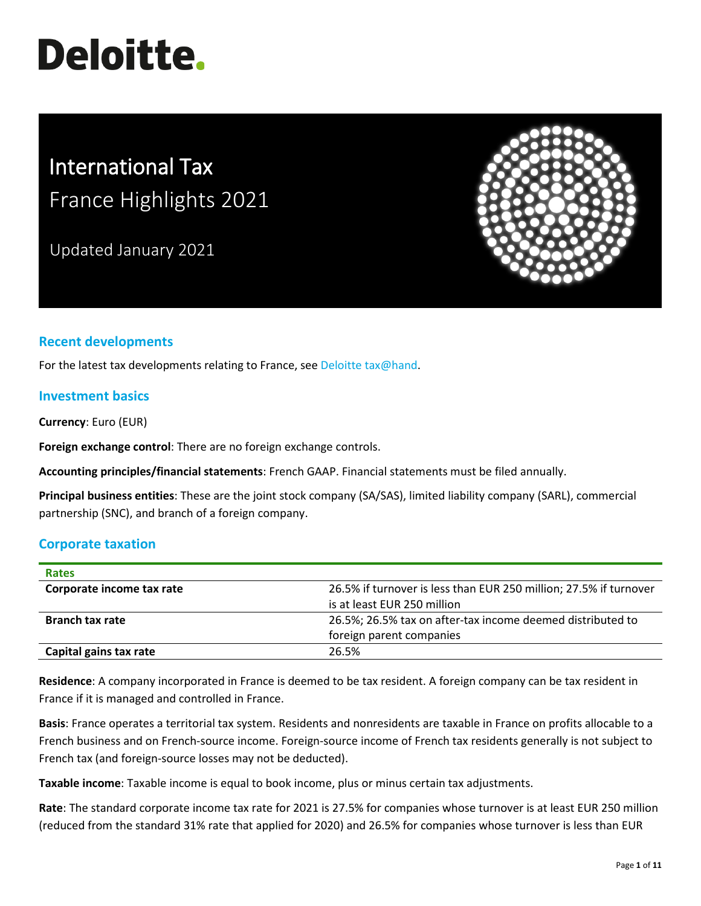# **Deloitte.**

# International Tax France Highlights 2021

Updated January 2021



# **Recent developments**

For the latest tax developments relating to France, see [Deloitte tax@hand.](https://www.taxathand.com/world-news/France)

#### **Investment basics**

**Currency**: Euro (EUR)

**Foreign exchange control**: There are no foreign exchange controls.

**Accounting principles/financial statements**: French GAAP. Financial statements must be filed annually.

**Principal business entities**: These are the joint stock company (SA/SAS), limited liability company (SARL), commercial partnership (SNC), and branch of a foreign company.

#### **Corporate taxation**

| <b>Rates</b>              |                                                                   |
|---------------------------|-------------------------------------------------------------------|
| Corporate income tax rate | 26.5% if turnover is less than EUR 250 million; 27.5% if turnover |
|                           | is at least EUR 250 million                                       |
| <b>Branch tax rate</b>    | 26.5%; 26.5% tax on after-tax income deemed distributed to        |
|                           | foreign parent companies                                          |
| Capital gains tax rate    | 26.5%                                                             |

**Residence**: A company incorporated in France is deemed to be tax resident. A foreign company can be tax resident in France if it is managed and controlled in France.

**Basis**: France operates a territorial tax system. Residents and nonresidents are taxable in France on profits allocable to a French business and on French-source income. Foreign-source income of French tax residents generally is not subject to French tax (and foreign-source losses may not be deducted).

**Taxable income**: Taxable income is equal to book income, plus or minus certain tax adjustments.

**Rate**: The standard corporate income tax rate for 2021 is 27.5% for companies whose turnover is at least EUR 250 million (reduced from the standard 31% rate that applied for 2020) and 26.5% for companies whose turnover is less than EUR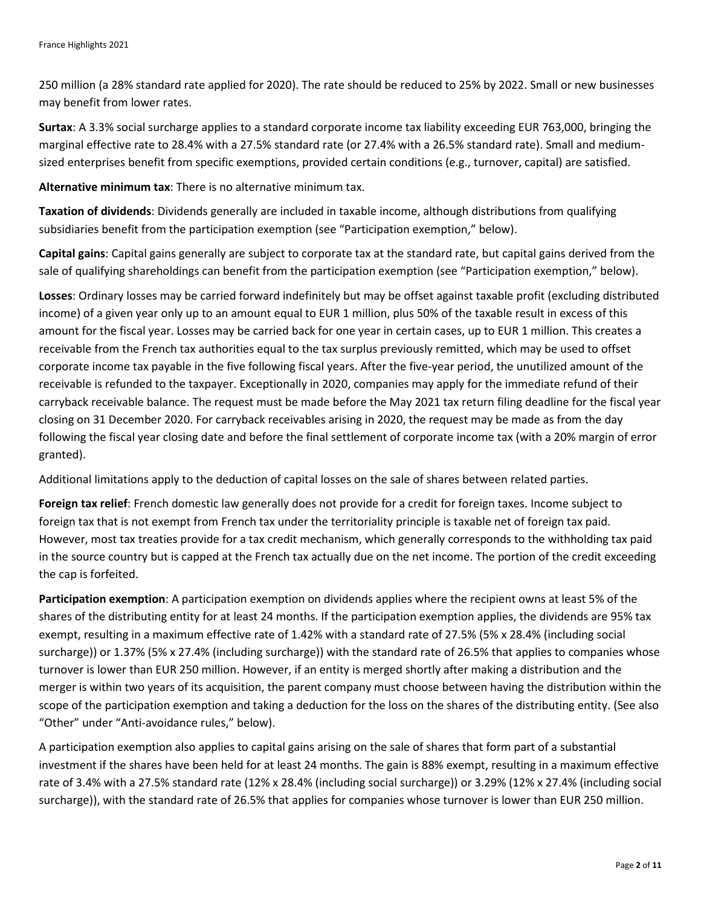250 million (a 28% standard rate applied for 2020). The rate should be reduced to 25% by 2022. Small or new businesses may benefit from lower rates.

**Surtax**: A 3.3% social surcharge applies to a standard corporate income tax liability exceeding EUR 763,000, bringing the marginal effective rate to 28.4% with a 27.5% standard rate (or 27.4% with a 26.5% standard rate). Small and mediumsized enterprises benefit from specific exemptions, provided certain conditions (e.g., turnover, capital) are satisfied.

**Alternative minimum tax**: There is no alternative minimum tax.

**Taxation of dividends**: Dividends generally are included in taxable income, although distributions from qualifying subsidiaries benefit from the participation exemption (see "Participation exemption," below).

**Capital gains**: Capital gains generally are subject to corporate tax at the standard rate, but capital gains derived from the sale of qualifying shareholdings can benefit from the participation exemption (see "Participation exemption," below).

**Losses**: Ordinary losses may be carried forward indefinitely but may be offset against taxable profit (excluding distributed income) of a given year only up to an amount equal to EUR 1 million, plus 50% of the taxable result in excess of this amount for the fiscal year. Losses may be carried back for one year in certain cases, up to EUR 1 million. This creates a receivable from the French tax authorities equal to the tax surplus previously remitted, which may be used to offset corporate income tax payable in the five following fiscal years. After the five-year period, the unutilized amount of the receivable is refunded to the taxpayer. Exceptionally in 2020, companies may apply for the immediate refund of their carryback receivable balance. The request must be made before the May 2021 tax return filing deadline for the fiscal year closing on 31 December 2020. For carryback receivables arising in 2020, the request may be made as from the day following the fiscal year closing date and before the final settlement of corporate income tax (with a 20% margin of error granted).

Additional limitations apply to the deduction of capital losses on the sale of shares between related parties.

**Foreign tax relief**: French domestic law generally does not provide for a credit for foreign taxes. Income subject to foreign tax that is not exempt from French tax under the territoriality principle is taxable net of foreign tax paid. However, most tax treaties provide for a tax credit mechanism, which generally corresponds to the withholding tax paid in the source country but is capped at the French tax actually due on the net income. The portion of the credit exceeding the cap is forfeited.

**Participation exemption**: A participation exemption on dividends applies where the recipient owns at least 5% of the shares of the distributing entity for at least 24 months. If the participation exemption applies, the dividends are 95% tax exempt, resulting in a maximum effective rate of 1.42% with a standard rate of 27.5% (5% x 28.4% (including social surcharge)) or 1.37% (5% x 27.4% (including surcharge)) with the standard rate of 26.5% that applies to companies whose turnover is lower than EUR 250 million. However, if an entity is merged shortly after making a distribution and the merger is within two years of its acquisition, the parent company must choose between having the distribution within the scope of the participation exemption and taking a deduction for the loss on the shares of the distributing entity. (See also "Other" under "Anti-avoidance rules," below).

A participation exemption also applies to capital gains arising on the sale of shares that form part of a substantial investment if the shares have been held for at least 24 months. The gain is 88% exempt, resulting in a maximum effective rate of 3.4% with a 27.5% standard rate (12% x 28.4% (including social surcharge)) or 3.29% (12% x 27.4% (including social surcharge)), with the standard rate of 26.5% that applies for companies whose turnover is lower than EUR 250 million.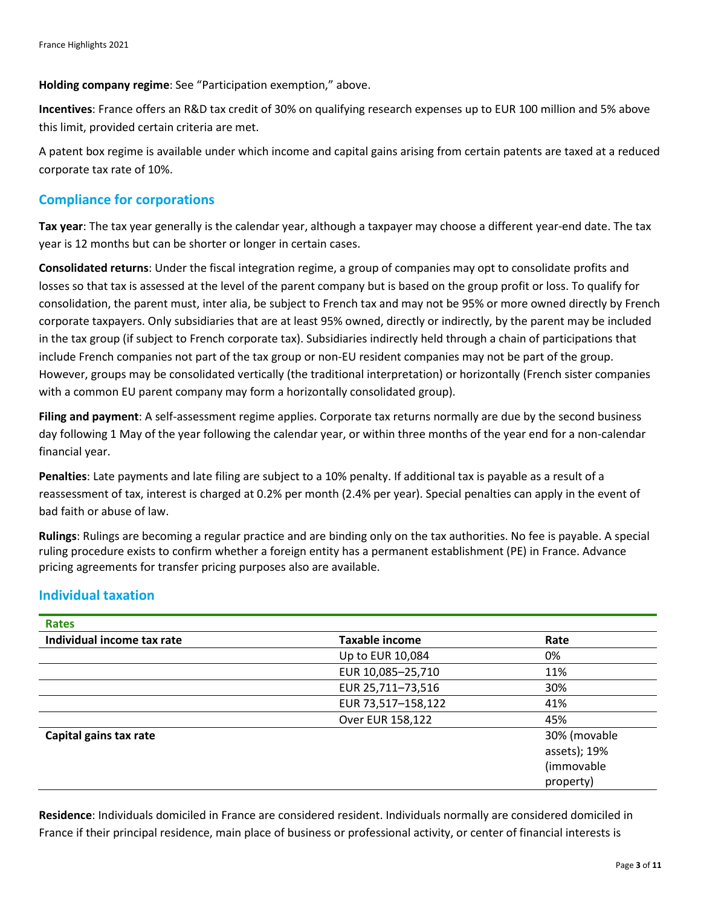**Holding company regime**: See "Participation exemption," above.

**Incentives**: France offers an R&D tax credit of 30% on qualifying research expenses up to EUR 100 million and 5% above this limit, provided certain criteria are met.

A patent box regime is available under which income and capital gains arising from certain patents are taxed at a reduced corporate tax rate of 10%.

#### **Compliance for corporations**

**Tax year**: The tax year generally is the calendar year, although a taxpayer may choose a different year-end date. The tax year is 12 months but can be shorter or longer in certain cases.

**Consolidated returns**: Under the fiscal integration regime, a group of companies may opt to consolidate profits and losses so that tax is assessed at the level of the parent company but is based on the group profit or loss. To qualify for consolidation, the parent must, inter alia, be subject to French tax and may not be 95% or more owned directly by French corporate taxpayers. Only subsidiaries that are at least 95% owned, directly or indirectly, by the parent may be included in the tax group (if subject to French corporate tax). Subsidiaries indirectly held through a chain of participations that include French companies not part of the tax group or non-EU resident companies may not be part of the group. However, groups may be consolidated vertically (the traditional interpretation) or horizontally (French sister companies with a common EU parent company may form a horizontally consolidated group).

**Filing and payment**: A self-assessment regime applies. Corporate tax returns normally are due by the second business day following 1 May of the year following the calendar year, or within three months of the year end for a non-calendar financial year.

**Penalties**: Late payments and late filing are subject to a 10% penalty. If additional tax is payable as a result of a reassessment of tax, interest is charged at 0.2% per month (2.4% per year). Special penalties can apply in the event of bad faith or abuse of law.

**Rulings**: Rulings are becoming a regular practice and are binding only on the tax authorities. No fee is payable. A special ruling procedure exists to confirm whether a foreign entity has a permanent establishment (PE) in France. Advance pricing agreements for transfer pricing purposes also are available.

# **Individual taxation**

| <b>Rates</b>               |                       |              |
|----------------------------|-----------------------|--------------|
| Individual income tax rate | <b>Taxable income</b> | Rate         |
|                            | Up to EUR 10,084      | 0%           |
|                            | EUR 10,085-25,710     | 11%          |
|                            | EUR 25,711-73,516     | 30%          |
|                            | EUR 73,517-158,122    | 41%          |
|                            | Over EUR 158,122      | 45%          |
| Capital gains tax rate     |                       | 30% (movable |
|                            |                       | assets); 19% |
|                            |                       | (immovable   |
|                            |                       | property)    |

**Residence**: Individuals domiciled in France are considered resident. Individuals normally are considered domiciled in France if their principal residence, main place of business or professional activity, or center of financial interests is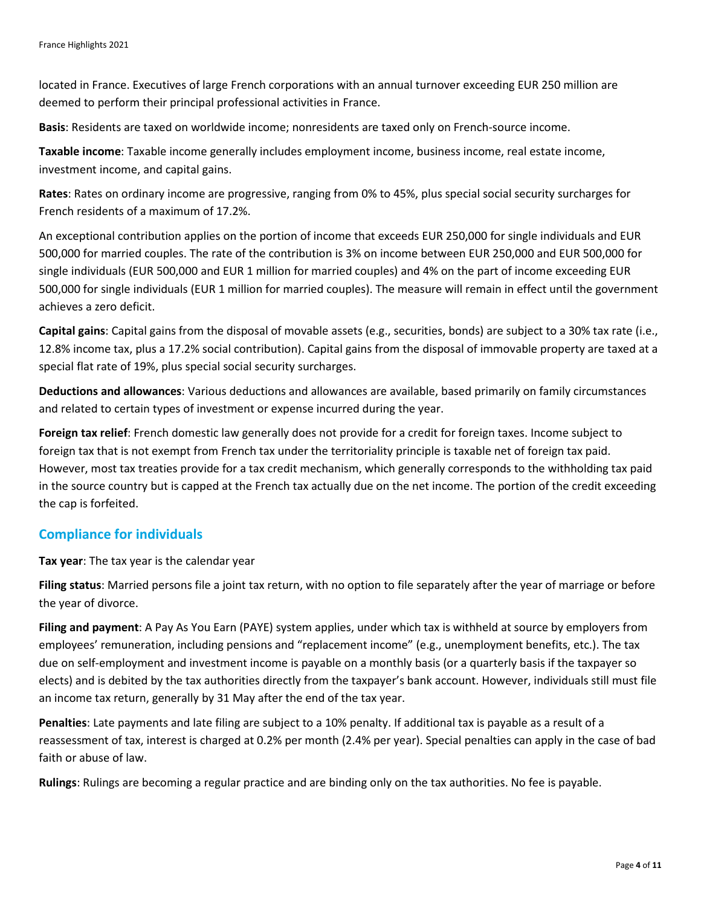located in France. Executives of large French corporations with an annual turnover exceeding EUR 250 million are deemed to perform their principal professional activities in France.

**Basis**: Residents are taxed on worldwide income; nonresidents are taxed only on French-source income.

**Taxable income**: Taxable income generally includes employment income, business income, real estate income, investment income, and capital gains.

**Rates**: Rates on ordinary income are progressive, ranging from 0% to 45%, plus special social security surcharges for French residents of a maximum of 17.2%.

An exceptional contribution applies on the portion of income that exceeds EUR 250,000 for single individuals and EUR 500,000 for married couples. The rate of the contribution is 3% on income between EUR 250,000 and EUR 500,000 for single individuals (EUR 500,000 and EUR 1 million for married couples) and 4% on the part of income exceeding EUR 500,000 for single individuals (EUR 1 million for married couples). The measure will remain in effect until the government achieves a zero deficit.

**Capital gains**: Capital gains from the disposal of movable assets (e.g., securities, bonds) are subject to a 30% tax rate (i.e., 12.8% income tax, plus a 17.2% social contribution). Capital gains from the disposal of immovable property are taxed at a special flat rate of 19%, plus special social security surcharges.

**Deductions and allowances**: Various deductions and allowances are available, based primarily on family circumstances and related to certain types of investment or expense incurred during the year.

**Foreign tax relief**: French domestic law generally does not provide for a credit for foreign taxes. Income subject to foreign tax that is not exempt from French tax under the territoriality principle is taxable net of foreign tax paid. However, most tax treaties provide for a tax credit mechanism, which generally corresponds to the withholding tax paid in the source country but is capped at the French tax actually due on the net income. The portion of the credit exceeding the cap is forfeited.

# **Compliance for individuals**

**Tax year**: The tax year is the calendar year

**Filing status**: Married persons file a joint tax return, with no option to file separately after the year of marriage or before the year of divorce.

**Filing and payment**: A Pay As You Earn (PAYE) system applies, under which tax is withheld at source by employers from employees' remuneration, including pensions and "replacement income" (e.g., unemployment benefits, etc.). The tax due on self-employment and investment income is payable on a monthly basis (or a quarterly basis if the taxpayer so elects) and is debited by the tax authorities directly from the taxpayer's bank account. However, individuals still must file an income tax return, generally by 31 May after the end of the tax year.

**Penalties**: Late payments and late filing are subject to a 10% penalty. If additional tax is payable as a result of a reassessment of tax, interest is charged at 0.2% per month (2.4% per year). Special penalties can apply in the case of bad faith or abuse of law.

**Rulings**: Rulings are becoming a regular practice and are binding only on the tax authorities. No fee is payable.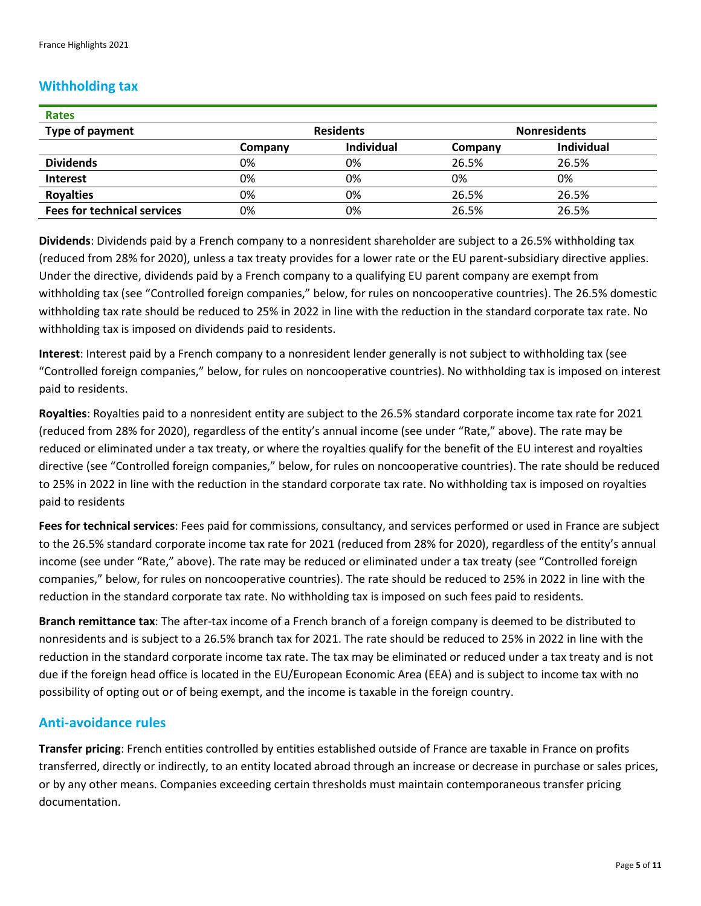# **Withholding tax**

| <b>Rates</b>                       |                  |                   |                     |                   |
|------------------------------------|------------------|-------------------|---------------------|-------------------|
| Type of payment                    | <b>Residents</b> |                   | <b>Nonresidents</b> |                   |
|                                    | Company          | <b>Individual</b> | Company             | <b>Individual</b> |
| <b>Dividends</b>                   | 0%               | 0%                | 26.5%               | 26.5%             |
| <b>Interest</b>                    | 0%               | 0%                | 0%                  | 0%                |
| <b>Royalties</b>                   | 0%               | 0%                | 26.5%               | 26.5%             |
| <b>Fees for technical services</b> | 0%               | 0%                | 26.5%               | 26.5%             |

**Dividends**: Dividends paid by a French company to a nonresident shareholder are subject to a 26.5% withholding tax (reduced from 28% for 2020), unless a tax treaty provides for a lower rate or the EU parent-subsidiary directive applies. Under the directive, dividends paid by a French company to a qualifying EU parent company are exempt from withholding tax (see "Controlled foreign companies," below, for rules on noncooperative countries). The 26.5% domestic withholding tax rate should be reduced to 25% in 2022 in line with the reduction in the standard corporate tax rate. No withholding tax is imposed on dividends paid to residents.

**Interest**: Interest paid by a French company to a nonresident lender generally is not subject to withholding tax (see "Controlled foreign companies," below, for rules on noncooperative countries). No withholding tax is imposed on interest paid to residents.

**Royalties**: Royalties paid to a nonresident entity are subject to the 26.5% standard corporate income tax rate for 2021 (reduced from 28% for 2020), regardless of the entity's annual income (see under "Rate," above). The rate may be reduced or eliminated under a tax treaty, or where the royalties qualify for the benefit of the EU interest and royalties directive (see "Controlled foreign companies," below, for rules on noncooperative countries). The rate should be reduced to 25% in 2022 in line with the reduction in the standard corporate tax rate. No withholding tax is imposed on royalties paid to residents

**Fees for technical services**: Fees paid for commissions, consultancy, and services performed or used in France are subject to the 26.5% standard corporate income tax rate for 2021 (reduced from 28% for 2020), regardless of the entity's annual income (see under "Rate," above). The rate may be reduced or eliminated under a tax treaty (see "Controlled foreign companies," below, for rules on noncooperative countries). The rate should be reduced to 25% in 2022 in line with the reduction in the standard corporate tax rate. No withholding tax is imposed on such fees paid to residents.

**Branch remittance tax**: The after-tax income of a French branch of a foreign company is deemed to be distributed to nonresidents and is subject to a 26.5% branch tax for 2021. The rate should be reduced to 25% in 2022 in line with the reduction in the standard corporate income tax rate. The tax may be eliminated or reduced under a tax treaty and is not due if the foreign head office is located in the EU/European Economic Area (EEA) and is subject to income tax with no possibility of opting out or of being exempt, and the income is taxable in the foreign country.

# **Anti-avoidance rules**

**Transfer pricing**: French entities controlled by entities established outside of France are taxable in France on profits transferred, directly or indirectly, to an entity located abroad through an increase or decrease in purchase or sales prices, or by any other means. Companies exceeding certain thresholds must maintain contemporaneous transfer pricing documentation.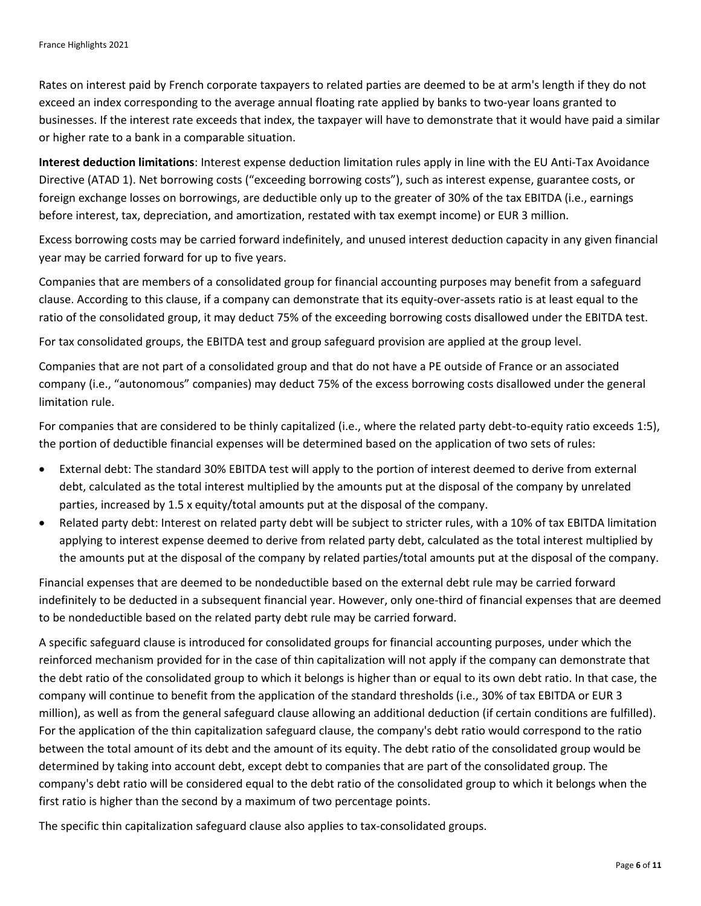Rates on interest paid by French corporate taxpayers to related parties are deemed to be at arm's length if they do not exceed an index corresponding to the average annual floating rate applied by banks to two-year loans granted to businesses. If the interest rate exceeds that index, the taxpayer will have to demonstrate that it would have paid a similar or higher rate to a bank in a comparable situation.

**Interest deduction limitations**: Interest expense deduction limitation rules apply in line with the EU Anti-Tax Avoidance Directive (ATAD 1). Net borrowing costs ("exceeding borrowing costs"), such as interest expense, guarantee costs, or foreign exchange losses on borrowings, are deductible only up to the greater of 30% of the tax EBITDA (i.e., earnings before interest, tax, depreciation, and amortization, restated with tax exempt income) or EUR 3 million.

Excess borrowing costs may be carried forward indefinitely, and unused interest deduction capacity in any given financial year may be carried forward for up to five years.

Companies that are members of a consolidated group for financial accounting purposes may benefit from a safeguard clause. According to this clause, if a company can demonstrate that its equity-over-assets ratio is at least equal to the ratio of the consolidated group, it may deduct 75% of the exceeding borrowing costs disallowed under the EBITDA test.

For tax consolidated groups, the EBITDA test and group safeguard provision are applied at the group level.

Companies that are not part of a consolidated group and that do not have a PE outside of France or an associated company (i.e., "autonomous" companies) may deduct 75% of the excess borrowing costs disallowed under the general limitation rule.

For companies that are considered to be thinly capitalized (i.e., where the related party debt-to-equity ratio exceeds 1:5), the portion of deductible financial expenses will be determined based on the application of two sets of rules:

- External debt: The standard 30% EBITDA test will apply to the portion of interest deemed to derive from external debt, calculated as the total interest multiplied by the amounts put at the disposal of the company by unrelated parties, increased by 1.5 x equity/total amounts put at the disposal of the company.
- Related party debt: Interest on related party debt will be subject to stricter rules, with a 10% of tax EBITDA limitation applying to interest expense deemed to derive from related party debt, calculated as the total interest multiplied by the amounts put at the disposal of the company by related parties/total amounts put at the disposal of the company.

Financial expenses that are deemed to be nondeductible based on the external debt rule may be carried forward indefinitely to be deducted in a subsequent financial year. However, only one-third of financial expenses that are deemed to be nondeductible based on the related party debt rule may be carried forward.

A specific safeguard clause is introduced for consolidated groups for financial accounting purposes, under which the reinforced mechanism provided for in the case of thin capitalization will not apply if the company can demonstrate that the debt ratio of the consolidated group to which it belongs is higher than or equal to its own debt ratio. In that case, the company will continue to benefit from the application of the standard thresholds (i.e., 30% of tax EBITDA or EUR 3 million), as well as from the general safeguard clause allowing an additional deduction (if certain conditions are fulfilled). For the application of the thin capitalization safeguard clause, the company's debt ratio would correspond to the ratio between the total amount of its debt and the amount of its equity. The debt ratio of the consolidated group would be determined by taking into account debt, except debt to companies that are part of the consolidated group. The company's debt ratio will be considered equal to the debt ratio of the consolidated group to which it belongs when the first ratio is higher than the second by a maximum of two percentage points.

The specific thin capitalization safeguard clause also applies to tax-consolidated groups.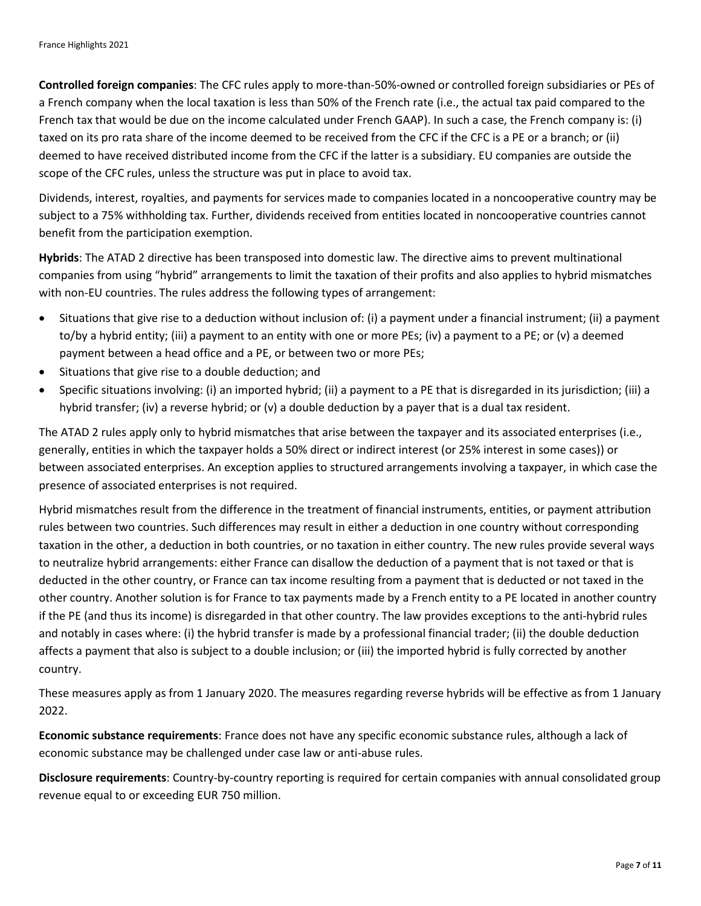**Controlled foreign companies**: The CFC rules apply to more-than-50%-owned or controlled foreign subsidiaries or PEs of a French company when the local taxation is less than 50% of the French rate (i.e., the actual tax paid compared to the French tax that would be due on the income calculated under French GAAP). In such a case, the French company is: (i) taxed on its pro rata share of the income deemed to be received from the CFC if the CFC is a PE or a branch; or (ii) deemed to have received distributed income from the CFC if the latter is a subsidiary. EU companies are outside the scope of the CFC rules, unless the structure was put in place to avoid tax.

Dividends, interest, royalties, and payments for services made to companies located in a noncooperative country may be subject to a 75% withholding tax. Further, dividends received from entities located in noncooperative countries cannot benefit from the participation exemption.

**Hybrids**: The ATAD 2 directive has been transposed into domestic law. The directive aims to prevent multinational companies from using "hybrid" arrangements to limit the taxation of their profits and also applies to hybrid mismatches with non-EU countries. The rules address the following types of arrangement:

- Situations that give rise to a deduction without inclusion of: (i) a payment under a financial instrument; (ii) a payment to/by a hybrid entity; (iii) a payment to an entity with one or more PEs; (iv) a payment to a PE; or (v) a deemed payment between a head office and a PE, or between two or more PEs;
- Situations that give rise to a double deduction; and
- Specific situations involving: (i) an imported hybrid; (ii) a payment to a PE that is disregarded in its jurisdiction; (iii) a hybrid transfer; (iv) a reverse hybrid; or (v) a double deduction by a payer that is a dual tax resident.

The ATAD 2 rules apply only to hybrid mismatches that arise between the taxpayer and its associated enterprises (i.e., generally, entities in which the taxpayer holds a 50% direct or indirect interest (or 25% interest in some cases)) or between associated enterprises. An exception applies to structured arrangements involving a taxpayer, in which case the presence of associated enterprises is not required.

Hybrid mismatches result from the difference in the treatment of financial instruments, entities, or payment attribution rules between two countries. Such differences may result in either a deduction in one country without corresponding taxation in the other, a deduction in both countries, or no taxation in either country. The new rules provide several ways to neutralize hybrid arrangements: either France can disallow the deduction of a payment that is not taxed or that is deducted in the other country, or France can tax income resulting from a payment that is deducted or not taxed in the other country. Another solution is for France to tax payments made by a French entity to a PE located in another country if the PE (and thus its income) is disregarded in that other country. The law provides exceptions to the anti-hybrid rules and notably in cases where: (i) the hybrid transfer is made by a professional financial trader; (ii) the double deduction affects a payment that also is subject to a double inclusion; or (iii) the imported hybrid is fully corrected by another country.

These measures apply as from 1 January 2020. The measures regarding reverse hybrids will be effective as from 1 January 2022.

**Economic substance requirements**: France does not have any specific economic substance rules, although a lack of economic substance may be challenged under case law or anti-abuse rules.

**Disclosure requirements**: Country-by-country reporting is required for certain companies with annual consolidated group revenue equal to or exceeding EUR 750 million.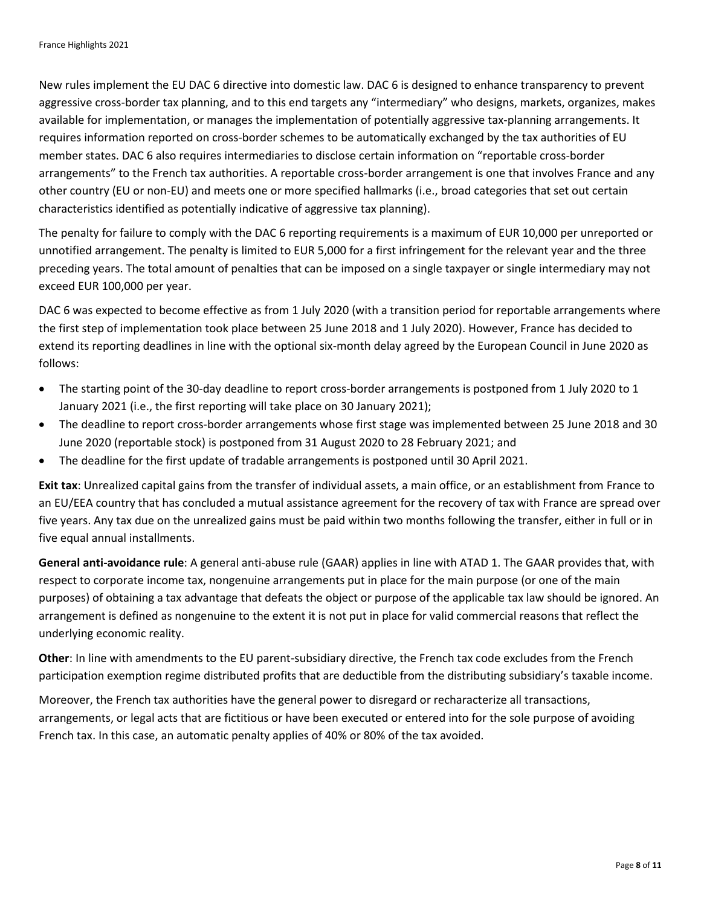New rules implement the EU DAC 6 directive into domestic law. DAC 6 is designed to enhance transparency to prevent aggressive cross-border tax planning, and to this end targets any "intermediary" who designs, markets, organizes, makes available for implementation, or manages the implementation of potentially aggressive tax-planning arrangements. It requires information reported on cross-border schemes to be automatically exchanged by the tax authorities of EU member states. DAC 6 also requires intermediaries to disclose certain information on "reportable cross-border arrangements" to the French tax authorities. A reportable cross-border arrangement is one that involves France and any other country (EU or non-EU) and meets one or more specified hallmarks (i.e., broad categories that set out certain characteristics identified as potentially indicative of aggressive tax planning).

The penalty for failure to comply with the DAC 6 reporting requirements is a maximum of EUR 10,000 per unreported or unnotified arrangement. The penalty is limited to EUR 5,000 for a first infringement for the relevant year and the three preceding years. The total amount of penalties that can be imposed on a single taxpayer or single intermediary may not exceed EUR 100,000 per year.

DAC 6 was expected to become effective as from 1 July 2020 (with a transition period for reportable arrangements where the first step of implementation took place between 25 June 2018 and 1 July 2020). However, France has decided to extend its reporting deadlines in line with the optional six-month delay agreed by the European Council in June 2020 as follows:

- The starting point of the 30-day deadline to report cross-border arrangements is postponed from 1 July 2020 to 1 January 2021 (i.e., the first reporting will take place on 30 January 2021);
- The deadline to report cross-border arrangements whose first stage was implemented between 25 June 2018 and 30 June 2020 (reportable stock) is postponed from 31 August 2020 to 28 February 2021; and
- The deadline for the first update of tradable arrangements is postponed until 30 April 2021.

**Exit tax**: Unrealized capital gains from the transfer of individual assets, a main office, or an establishment from France to an EU/EEA country that has concluded a mutual assistance agreement for the recovery of tax with France are spread over five years. Any tax due on the unrealized gains must be paid within two months following the transfer, either in full or in five equal annual installments.

**General anti-avoidance rule**: A general anti-abuse rule (GAAR) applies in line with ATAD 1. The GAAR provides that, with respect to corporate income tax, nongenuine arrangements put in place for the main purpose (or one of the main purposes) of obtaining a tax advantage that defeats the object or purpose of the applicable tax law should be ignored. An arrangement is defined as nongenuine to the extent it is not put in place for valid commercial reasons that reflect the underlying economic reality.

**Other**: In line with amendments to the EU parent-subsidiary directive, the French tax code excludes from the French participation exemption regime distributed profits that are deductible from the distributing subsidiary's taxable income.

Moreover, the French tax authorities have the general power to disregard or recharacterize all transactions, arrangements, or legal acts that are fictitious or have been executed or entered into for the sole purpose of avoiding French tax. In this case, an automatic penalty applies of 40% or 80% of the tax avoided.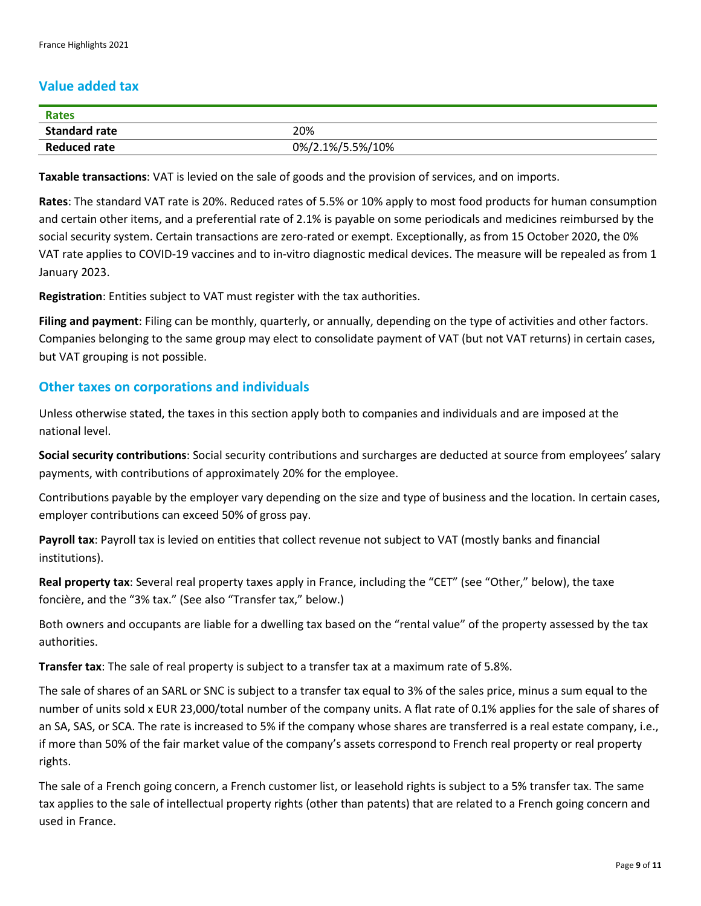#### **Value added tax**

| <b>Rates</b>         |                  |
|----------------------|------------------|
| <b>Standard rate</b> | 20%              |
| <b>Reduced rate</b>  | 0%/2.1%/5.5%/10% |

**Taxable transactions**: VAT is levied on the sale of goods and the provision of services, and on imports.

**Rates**: The standard VAT rate is 20%. Reduced rates of 5.5% or 10% apply to most food products for human consumption and certain other items, and a preferential rate of 2.1% is payable on some periodicals and medicines reimbursed by the social security system. Certain transactions are zero-rated or exempt. Exceptionally, as from 15 October 2020, the 0% VAT rate applies to COVID-19 vaccines and to in-vitro diagnostic medical devices. The measure will be repealed as from 1 January 2023.

**Registration**: Entities subject to VAT must register with the tax authorities.

**Filing and payment**: Filing can be monthly, quarterly, or annually, depending on the type of activities and other factors. Companies belonging to the same group may elect to consolidate payment of VAT (but not VAT returns) in certain cases, but VAT grouping is not possible.

#### **Other taxes on corporations and individuals**

Unless otherwise stated, the taxes in this section apply both to companies and individuals and are imposed at the national level.

**Social security contributions**: Social security contributions and surcharges are deducted at source from employees' salary payments, with contributions of approximately 20% for the employee.

Contributions payable by the employer vary depending on the size and type of business and the location. In certain cases, employer contributions can exceed 50% of gross pay.

**Payroll tax**: Payroll tax is levied on entities that collect revenue not subject to VAT (mostly banks and financial institutions).

**Real property tax**: Several real property taxes apply in France, including the "CET" (see "Other," below), the taxe foncière, and the "3% tax." (See also "Transfer tax," below.)

Both owners and occupants are liable for a dwelling tax based on the "rental value" of the property assessed by the tax authorities.

**Transfer tax**: The sale of real property is subject to a transfer tax at a maximum rate of 5.8%.

The sale of shares of an SARL or SNC is subject to a transfer tax equal to 3% of the sales price, minus a sum equal to the number of units sold x EUR 23,000/total number of the company units. A flat rate of 0.1% applies for the sale of shares of an SA, SAS, or SCA. The rate is increased to 5% if the company whose shares are transferred is a real estate company, i.e., if more than 50% of the fair market value of the company's assets correspond to French real property or real property rights.

The sale of a French going concern, a French customer list, or leasehold rights is subject to a 5% transfer tax. The same tax applies to the sale of intellectual property rights (other than patents) that are related to a French going concern and used in France.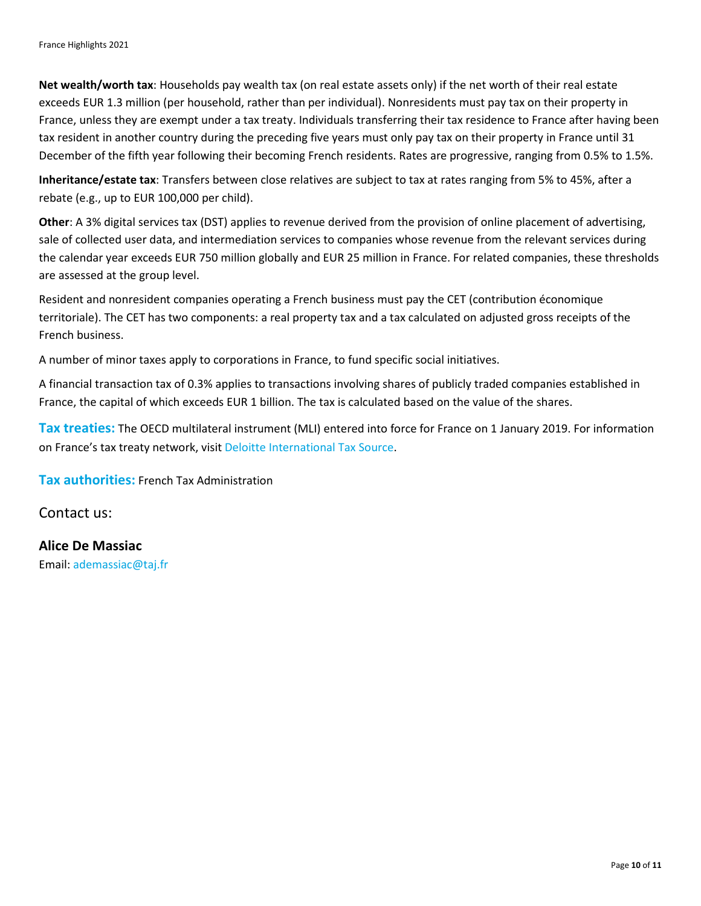**Net wealth/worth tax**: Households pay wealth tax (on real estate assets only) if the net worth of their real estate exceeds EUR 1.3 million (per household, rather than per individual). Nonresidents must pay tax on their property in France, unless they are exempt under a tax treaty. Individuals transferring their tax residence to France after having been tax resident in another country during the preceding five years must only pay tax on their property in France until 31 December of the fifth year following their becoming French residents. Rates are progressive, ranging from 0.5% to 1.5%.

**Inheritance/estate tax**: Transfers between close relatives are subject to tax at rates ranging from 5% to 45%, after a rebate (e.g., up to EUR 100,000 per child).

**Other**: A 3% digital services tax (DST) applies to revenue derived from the provision of online placement of advertising, sale of collected user data, and intermediation services to companies whose revenue from the relevant services during the calendar year exceeds EUR 750 million globally and EUR 25 million in France. For related companies, these thresholds are assessed at the group level.

Resident and nonresident companies operating a French business must pay the CET (contribution économique territoriale). The CET has two components: a real property tax and a tax calculated on adjusted gross receipts of the French business.

A number of minor taxes apply to corporations in France, to fund specific social initiatives.

A financial transaction tax of 0.3% applies to transactions involving shares of publicly traded companies established in France, the capital of which exceeds EUR 1 billion. The tax is calculated based on the value of the shares.

**Tax treaties:** The OECD multilateral instrument (MLI) entered into force for France on 1 January 2019. For information on France's tax treaty network, visit [Deloitte International Tax Source.](https://dits.deloitte.com/#Jurisdiction/28)

**Tax authorities:** French Tax Administration

Contact us:

**Alice De Massiac** Email: [ademassiac@taj.fr](mailto:ademassiac@taj.fr)